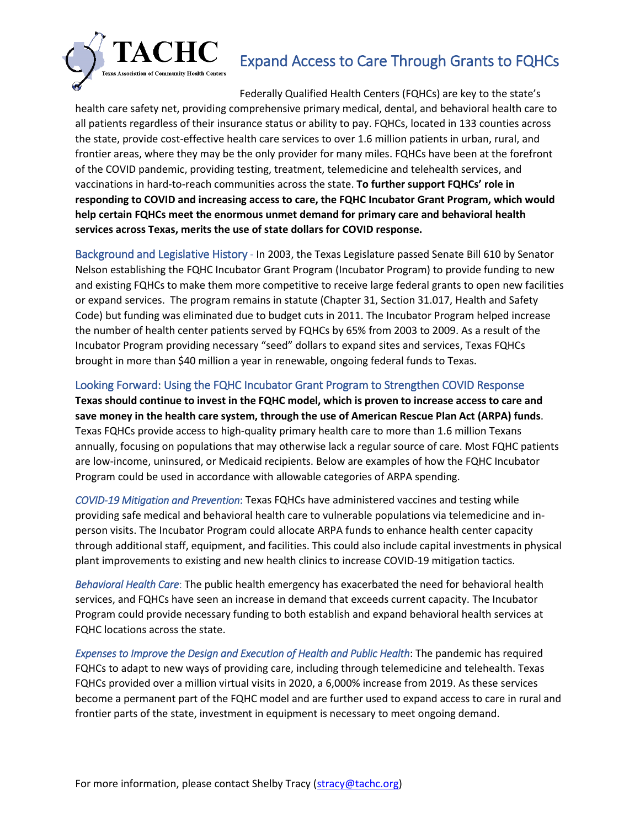## Expand Access to Care Through Grants to FQHCs



Federally Qualified Health Centers (FQHCs) are key to the state's health care safety net, providing comprehensive primary medical, dental, and behavioral health care to all patients regardless of their insurance status or ability to pay. FQHCs, located in 133 counties across the state, provide cost-effective health care services to over 1.6 million patients in urban, rural, and frontier areas, where they may be the only provider for many miles. FQHCs have been at the forefront of the COVID pandemic, providing testing, treatment, telemedicine and telehealth services, and vaccinations in hard-to-reach communities across the state. **To further support FQHCs' role in responding to COVID and increasing access to care, the FQHC Incubator Grant Program, which would help certain FQHCs meet the enormous unmet demand for primary care and behavioral health services across Texas, merits the use of state dollars for COVID response.**

Background and Legislative History - In 2003, the Texas Legislature passed Senate Bill 610 by Senator Nelson establishing the FQHC Incubator Grant Program (Incubator Program) to provide funding to new and existing FQHCs to make them more competitive to receive large federal grants to open new facilities or expand services. The program remains in statute (Chapter 31, Section 31.017, Health and Safety Code) but funding was eliminated due to budget cuts in 2011. The Incubator Program helped increase the number of health center patients served by FQHCs by 65% from 2003 to 2009. As a result of the Incubator Program providing necessary "seed" dollars to expand sites and services, Texas FQHCs brought in more than \$40 million a year in renewable, ongoing federal funds to Texas.

## Looking Forward: Using the FQHC Incubator Grant Program to Strengthen COVID Response

**Texas should continue to invest in the FQHC model, which is proven to increase access to care and save money in the health care system, through the use of American Rescue Plan Act (ARPA) funds**. Texas FQHCs provide access to high-quality primary health care to more than 1.6 million Texans annually, focusing on populations that may otherwise lack a regular source of care. Most FQHC patients are low-income, uninsured, or Medicaid recipients. Below are examples of how the FQHC Incubator Program could be used in accordance with allowable categories of ARPA spending.

*COVID-19 Mitigation and Prevention*: Texas FQHCs have administered vaccines and testing while providing safe medical and behavioral health care to vulnerable populations via telemedicine and inperson visits. The Incubator Program could allocate ARPA funds to enhance health center capacity through additional staff, equipment, and facilities. This could also include capital investments in physical plant improvements to existing and new health clinics to increase COVID-19 mitigation tactics.

*Behavioral Health Care*: The public health emergency has exacerbated the need for behavioral health services, and FQHCs have seen an increase in demand that exceeds current capacity. The Incubator Program could provide necessary funding to both establish and expand behavioral health services at FQHC locations across the state.

*Expenses to Improve the Design and Execution of Health and Public Health*: The pandemic has required FQHCs to adapt to new ways of providing care, including through telemedicine and telehealth. Texas FQHCs provided over a million virtual visits in 2020, a 6,000% increase from 2019. As these services become a permanent part of the FQHC model and are further used to expand access to care in rural and frontier parts of the state, investment in equipment is necessary to meet ongoing demand.